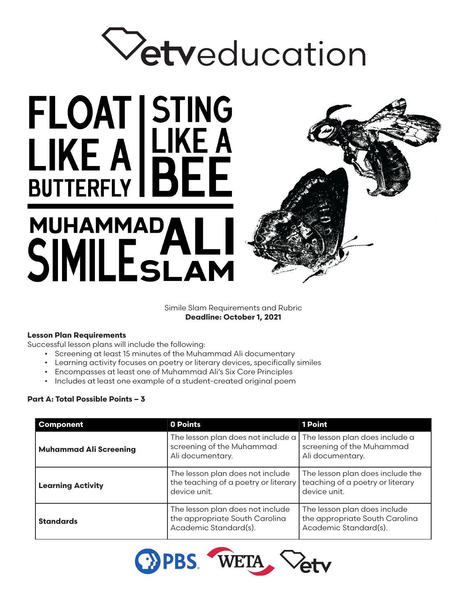# Vetveducation

# MUHAMMADALI<br>SIMILESLAM

FLOAT STING<br>LIKE A LIKE A<br>BUTTERFLY BEE



Simile Slam Requirements and Rubric **Deadline: October 1, 2021** 

## **Lesson Plan Requirements**

Successful lesson plans will include the following:

- Screening at least 15 minutes of the Muhammad Ali documentary
- Learning activity focuses on poetry or literary devices, specifically similes
- Encompasses at least one of Muhammad Ali's Six Core Principles
- Includes at least one example of a student-created original poem

### **Part A: Total Possible Points – 3**

| <b>Component</b>                                                                                                | 0 Points                                                                                 | 1 Point                                                                                 |  |
|-----------------------------------------------------------------------------------------------------------------|------------------------------------------------------------------------------------------|-----------------------------------------------------------------------------------------|--|
| <b>Muhammad Ali Screening</b>                                                                                   | The lesson plan does not include a<br>screening of the Muhammad<br>Ali documentary.      | The lesson plan does include a<br>screening of the Muhammad<br>Ali documentary.         |  |
| <b>Learning Activity</b>                                                                                        | The lesson plan does not include<br>the teaching of a poetry or literary<br>device unit. | The lesson plan does include the<br>teaching of a poetry or literary<br>device unit.    |  |
| The lesson plan does not include<br>the appropriate South Carolina<br><b>Standards</b><br>Academic Standard(s). |                                                                                          | The lesson plan does include<br>the appropriate South Carolina<br>Academic Standard(s). |  |

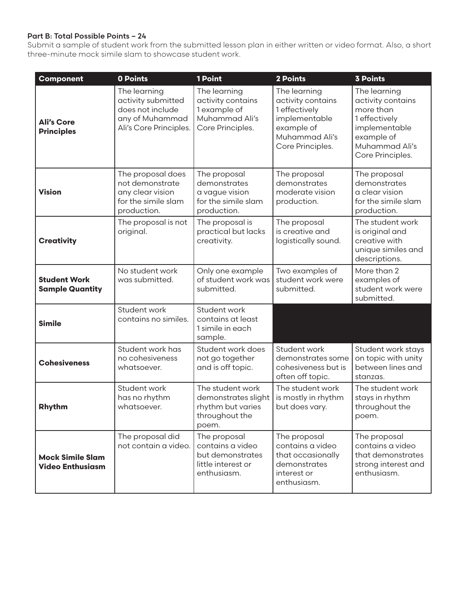## **Part B: Total Possible Points – 24**

Submit a sample of student work from the submitted lesson plan in either written or video format. Also, a short three-minute mock simile slam to showcase student work.

| Component                                          | 0 Points                                                                                            | 1 Point                                                                                   | 2 Points                                                                                                                | <b>3 Points</b>                                                                                                                      |
|----------------------------------------------------|-----------------------------------------------------------------------------------------------------|-------------------------------------------------------------------------------------------|-------------------------------------------------------------------------------------------------------------------------|--------------------------------------------------------------------------------------------------------------------------------------|
| <b>Ali's Core</b><br><b>Principles</b>             | The learning<br>activity submitted<br>does not include<br>any of Muhammad<br>Ali's Core Principles. | The learning<br>activity contains<br>1 example of<br>Muhammad Ali's<br>Core Principles.   | The learning<br>activity contains<br>1 effectively<br>implementable<br>example of<br>Muhammad Ali's<br>Core Principles. | The learning<br>activity contains<br>more than<br>1 effectively<br>implementable<br>example of<br>Muhammad Ali's<br>Core Principles. |
| <b>Vision</b>                                      | The proposal does<br>not demonstrate<br>any clear vision<br>for the simile slam<br>production.      | The proposal<br>demonstrates<br>a vague vision<br>for the simile slam<br>production.      | The proposal<br>demonstrates<br>moderate vision<br>production.                                                          | The proposal<br>demonstrates<br>a clear vision<br>for the simile slam<br>production.                                                 |
| <b>Creativity</b>                                  | The proposal is not<br>original.                                                                    | The proposal is<br>practical but lacks<br>creativity.                                     | The proposal<br>is creative and<br>logistically sound.                                                                  | The student work<br>is original and<br>creative with<br>unique similes and<br>descriptions.                                          |
| <b>Student Work</b><br><b>Sample Quantity</b>      | No student work<br>was submitted.                                                                   | Only one example<br>of student work was<br>submitted.                                     | Two examples of<br>student work were<br>submitted.                                                                      | More than 2<br>examples of<br>student work were<br>submitted.                                                                        |
| <b>Simile</b>                                      | Student work<br>contains no similes.                                                                | Student work<br>contains at least<br>1 simile in each<br>sample.                          |                                                                                                                         |                                                                                                                                      |
| <b>Cohesiveness</b>                                | Student work has<br>no cohesiveness<br>whatsoever.                                                  | Student work does<br>not go together<br>and is off topic.                                 | Student work<br>demonstrates some<br>cohesiveness but is<br>often off topic.                                            | Student work stays<br>on topic with unity<br>between lines and<br>stanzas.                                                           |
| <b>Rhythm</b>                                      | Student work<br>has no rhythm<br>whatsoever.                                                        | The student work<br>demonstrates slight<br>rhythm but varies<br>throughout the<br>poem.   | The student work<br>is mostly in rhythm<br>but does vary.                                                               | The student work<br>stays in rhythm<br>throughout the<br>poem.                                                                       |
| <b>Mock Simile Slam</b><br><b>Video Enthusiasm</b> | The proposal did<br>not contain a video.                                                            | The proposal<br>contains a video<br>but demonstrates<br>little interest or<br>enthusiasm. | The proposal<br>contains a video<br>that occasionally<br>demonstrates<br>interest or<br>enthusiasm.                     | The proposal<br>contains a video<br>that demonstrates<br>strong interest and<br>enthusiasm.                                          |